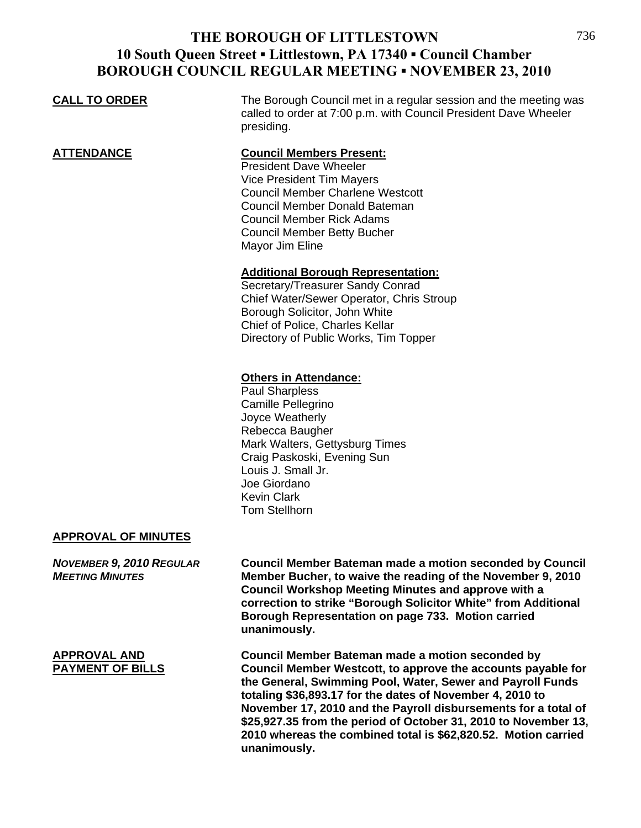## **CALL TO ORDER** The Borough Council met in a regular session and the meeting was called to order at 7:00 p.m. with Council President Dave Wheeler presiding. **ATTENDANCE Council Members Present:** President Dave Wheeler Vice President Tim Mayers Council Member Charlene Westcott Council Member Donald Bateman Council Member Rick Adams Council Member Betty Bucher Mayor Jim Eline **Additional Borough Representation:** Secretary/Treasurer Sandy Conrad Chief Water/Sewer Operator, Chris Stroup Borough Solicitor, John White Chief of Police, Charles Kellar Directory of Public Works, Tim Topper **Others in Attendance:**

 Paul Sharpless Camille Pellegrino Joyce Weatherly Rebecca Baugher Mark Walters, Gettysburg Times Craig Paskoski, Evening Sun Louis J. Small Jr. Joe Giordano Kevin Clark Tom Stellhorn

### **APPROVAL OF MINUTES**

*NOVEMBER 9, 2010 REGULAR* **Council Member Bateman made a motion seconded by Council**  *MEETING MINUTES* **Member Bucher, to waive the reading of the November 9, 2010 Council Workshop Meeting Minutes and approve with a correction to strike "Borough Solicitor White" from Additional Borough Representation on page 733. Motion carried unanimously.**

**APPROVAL AND Council Member Bateman made a motion seconded by Council Member Westcott, to approve the accounts payable for the General, Swimming Pool, Water, Sewer and Payroll Funds totaling \$36,893.17 for the dates of November 4, 2010 to November 17, 2010 and the Payroll disbursements for a total of \$25,927.35 from the period of October 31, 2010 to November 13, 2010 whereas the combined total is \$62,820.52. Motion carried unanimously.**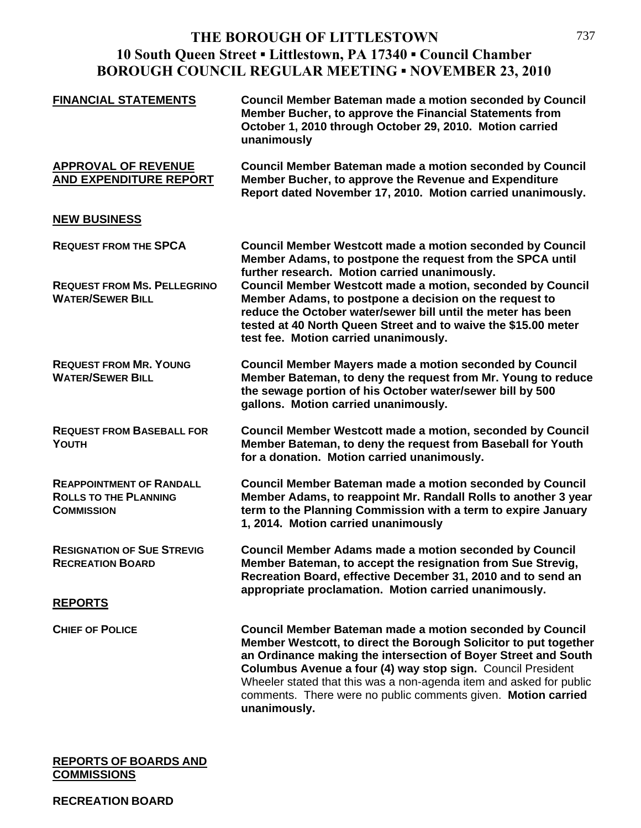| <b>FINANCIAL STATEMENTS</b>                                                                   | <b>Council Member Bateman made a motion seconded by Council</b><br>Member Bucher, to approve the Financial Statements from<br>October 1, 2010 through October 29, 2010. Motion carried<br>unanimously                                                                                                                                                                                                                                                                             |
|-----------------------------------------------------------------------------------------------|-----------------------------------------------------------------------------------------------------------------------------------------------------------------------------------------------------------------------------------------------------------------------------------------------------------------------------------------------------------------------------------------------------------------------------------------------------------------------------------|
| <b>APPROVAL OF REVENUE</b><br>AND EXPENDITURE REPORT                                          | <b>Council Member Bateman made a motion seconded by Council</b><br>Member Bucher, to approve the Revenue and Expenditure<br>Report dated November 17, 2010. Motion carried unanimously.                                                                                                                                                                                                                                                                                           |
| <b>NEW BUSINESS</b>                                                                           |                                                                                                                                                                                                                                                                                                                                                                                                                                                                                   |
| <b>REQUEST FROM THE SPCA</b><br><b>REQUEST FROM MS. PELLEGRINO</b><br><b>WATER/SEWER BILL</b> | <b>Council Member Westcott made a motion seconded by Council</b><br>Member Adams, to postpone the request from the SPCA until<br>further research. Motion carried unanimously.<br>Council Member Westcott made a motion, seconded by Council<br>Member Adams, to postpone a decision on the request to<br>reduce the October water/sewer bill until the meter has been<br>tested at 40 North Queen Street and to waive the \$15.00 meter<br>test fee. Motion carried unanimously. |
| <b>REQUEST FROM MR. YOUNG</b><br><b>WATER/SEWER BILL</b>                                      | <b>Council Member Mayers made a motion seconded by Council</b><br>Member Bateman, to deny the request from Mr. Young to reduce<br>the sewage portion of his October water/sewer bill by 500<br>gallons. Motion carried unanimously.                                                                                                                                                                                                                                               |
| <b>REQUEST FROM BASEBALL FOR</b><br>YOUTH                                                     | <b>Council Member Westcott made a motion, seconded by Council</b><br>Member Bateman, to deny the request from Baseball for Youth<br>for a donation. Motion carried unanimously.                                                                                                                                                                                                                                                                                                   |
| <b>REAPPOINTMENT OF RANDALL</b><br><b>ROLLS TO THE PLANNING</b><br><b>COMMISSION</b>          | <b>Council Member Bateman made a motion seconded by Council</b><br>Member Adams, to reappoint Mr. Randall Rolls to another 3 year<br>term to the Planning Commission with a term to expire January<br>1, 2014. Motion carried unanimously                                                                                                                                                                                                                                         |
| <b>RESIGNATION OF SUE STREVIG</b><br><b>RECREATION BOARD</b>                                  | <b>Council Member Adams made a motion seconded by Council</b><br>Member Bateman, to accept the resignation from Sue Strevig,<br>Recreation Board, effective December 31, 2010 and to send an<br>appropriate proclamation. Motion carried unanimously.                                                                                                                                                                                                                             |
| <b>REPORTS</b>                                                                                |                                                                                                                                                                                                                                                                                                                                                                                                                                                                                   |
| <b>CHIEF OF POLICE</b>                                                                        | <b>Council Member Bateman made a motion seconded by Council</b><br>Member Westcott, to direct the Borough Solicitor to put together<br>an Ordinance making the intersection of Boyer Street and South<br>Columbus Avenue a four (4) way stop sign. Council President<br>Wheeler stated that this was a non-agenda item and asked for public<br>comments. There were no public comments given. Motion carried<br>unanimously.                                                      |

#### **REPORTS OF BOARDS AND COMMISSIONS**

### **RECREATION BOARD**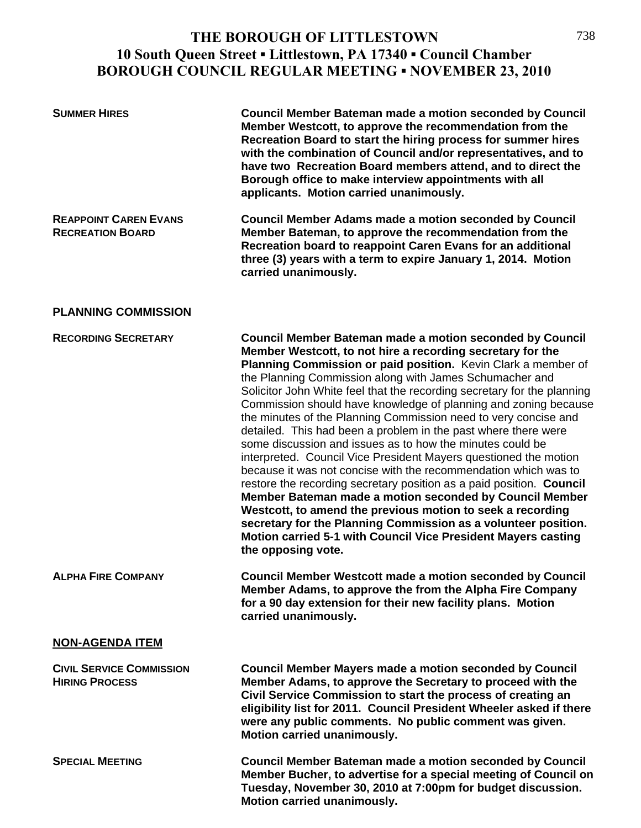| <b>SUMMER HIRES</b>                                      | <b>Council Member Bateman made a motion seconded by Council</b><br>Member Westcott, to approve the recommendation from the<br>Recreation Board to start the hiring process for summer hires<br>with the combination of Council and/or representatives, and to<br>have two Recreation Board members attend, and to direct the<br>Borough office to make interview appointments with all<br>applicants. Motion carried unanimously.                                                                                                                                                                                                                                                                                                                                                                                                                                                                                                                                                                                                                                                                          |
|----------------------------------------------------------|------------------------------------------------------------------------------------------------------------------------------------------------------------------------------------------------------------------------------------------------------------------------------------------------------------------------------------------------------------------------------------------------------------------------------------------------------------------------------------------------------------------------------------------------------------------------------------------------------------------------------------------------------------------------------------------------------------------------------------------------------------------------------------------------------------------------------------------------------------------------------------------------------------------------------------------------------------------------------------------------------------------------------------------------------------------------------------------------------------|
| <b>REAPPOINT CAREN EVANS</b><br><b>RECREATION BOARD</b>  | <b>Council Member Adams made a motion seconded by Council</b><br>Member Bateman, to approve the recommendation from the<br>Recreation board to reappoint Caren Evans for an additional<br>three (3) years with a term to expire January 1, 2014. Motion<br>carried unanimously.                                                                                                                                                                                                                                                                                                                                                                                                                                                                                                                                                                                                                                                                                                                                                                                                                            |
| <b>PLANNING COMMISSION</b>                               |                                                                                                                                                                                                                                                                                                                                                                                                                                                                                                                                                                                                                                                                                                                                                                                                                                                                                                                                                                                                                                                                                                            |
| <b>RECORDING SECRETARY</b>                               | <b>Council Member Bateman made a motion seconded by Council</b><br>Member Westcott, to not hire a recording secretary for the<br>Planning Commission or paid position. Kevin Clark a member of<br>the Planning Commission along with James Schumacher and<br>Solicitor John White feel that the recording secretary for the planning<br>Commission should have knowledge of planning and zoning because<br>the minutes of the Planning Commission need to very concise and<br>detailed. This had been a problem in the past where there were<br>some discussion and issues as to how the minutes could be<br>interpreted. Council Vice President Mayers questioned the motion<br>because it was not concise with the recommendation which was to<br>restore the recording secretary position as a paid position. Council<br>Member Bateman made a motion seconded by Council Member<br>Westcott, to amend the previous motion to seek a recording<br>secretary for the Planning Commission as a volunteer position.<br>Motion carried 5-1 with Council Vice President Mayers casting<br>the opposing vote. |
| <b>ALPHA FIRE COMPANY</b>                                | <b>Council Member Westcott made a motion seconded by Council</b><br>Member Adams, to approve the from the Alpha Fire Company<br>for a 90 day extension for their new facility plans. Motion<br>carried unanimously.                                                                                                                                                                                                                                                                                                                                                                                                                                                                                                                                                                                                                                                                                                                                                                                                                                                                                        |
| <b>NON-AGENDA ITEM</b>                                   |                                                                                                                                                                                                                                                                                                                                                                                                                                                                                                                                                                                                                                                                                                                                                                                                                                                                                                                                                                                                                                                                                                            |
| <b>CIVIL SERVICE COMMISSION</b><br><b>HIRING PROCESS</b> | <b>Council Member Mayers made a motion seconded by Council</b><br>Member Adams, to approve the Secretary to proceed with the<br>Civil Service Commission to start the process of creating an<br>eligibility list for 2011. Council President Wheeler asked if there<br>were any public comments. No public comment was given.<br>Motion carried unanimously.                                                                                                                                                                                                                                                                                                                                                                                                                                                                                                                                                                                                                                                                                                                                               |
| <b>SPECIAL MEETING</b>                                   | <b>Council Member Bateman made a motion seconded by Council</b><br>Member Bucher, to advertise for a special meeting of Council on<br>Tuesday, November 30, 2010 at 7:00pm for budget discussion.<br>Motion carried unanimously.                                                                                                                                                                                                                                                                                                                                                                                                                                                                                                                                                                                                                                                                                                                                                                                                                                                                           |